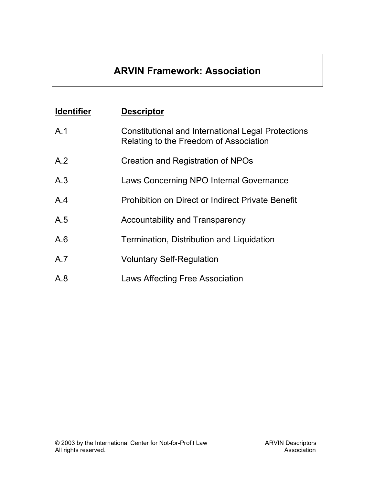# **ARVIN Framework: Association**

| <b>Identifier</b> | <b>Descriptor</b>                                                                                   |
|-------------------|-----------------------------------------------------------------------------------------------------|
| A.1               | <b>Constitutional and International Legal Protections</b><br>Relating to the Freedom of Association |
| A.2               | Creation and Registration of NPOs                                                                   |
| A.3               | Laws Concerning NPO Internal Governance                                                             |
| A.4               | <b>Prohibition on Direct or Indirect Private Benefit</b>                                            |
| A.5               | <b>Accountability and Transparency</b>                                                              |
| A.6               | Termination, Distribution and Liquidation                                                           |
| A.7               | <b>Voluntary Self-Regulation</b>                                                                    |
| A.8               | <b>Laws Affecting Free Association</b>                                                              |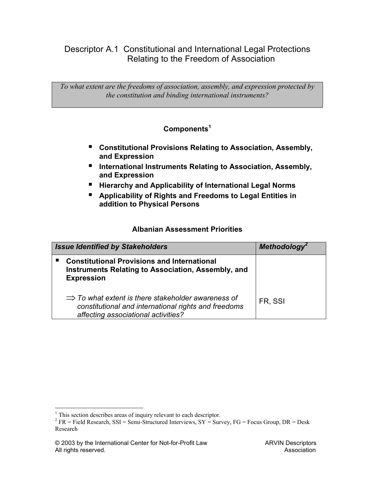Descriptor A.1 Constitutional and International Legal Protections Relating to the Freedom of Association

*To what extent are the freedoms of association, assembly, and expression protected by the constitution and binding international instruments?* 

### **Component[s1](#page-1-0)**

- **Constitutional Provisions Relating to Association, Assembly, and Expression**
- **International Instruments Relating to Association, Assembly, and Expression**
- **Hierarchy and Applicability of International Legal Norms**
- **Applicability of Rights and Freedoms to Legal Entities in addition to Physical Persons**

| <b>Issue Identified by Stakeholders</b> |                                                                                                                                                               | Methodology <sup>2</sup> |
|-----------------------------------------|---------------------------------------------------------------------------------------------------------------------------------------------------------------|--------------------------|
|                                         | <b>Constitutional Provisions and International</b><br><b>Instruments Relating to Association, Assembly, and</b><br><b>Expression</b>                          |                          |
|                                         | $\Rightarrow$ To what extent is there stakeholder awareness of<br>constitutional and international rights and freedoms<br>affecting associational activities? | FR. SSI                  |

<span id="page-1-0"></span> 1 This section describes areas of inquiry relevant to each descriptor.

<span id="page-1-1"></span><sup>&</sup>lt;sup>2</sup> FR = Field Research, SSI = Semi-Structured Interviews, SY = Survey, FG = Focus Group, DR = Desk Research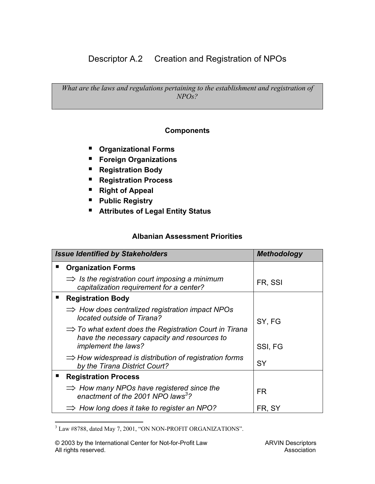Descriptor A.2 Creation and Registration of NPOs

*What are the laws and regulations pertaining to the establishment and registration of NPOs?* 

### **Components**

- **Organizational Forms**
- **Foreign Organizations**
- **Registration Body**
- **Registration Process**
- **Right of Appeal**
- **Public Registry**
- **Attributes of Legal Entity Status**

| <b>Issue Identified by Stakeholders</b>                                                                                                   | Methodology |
|-------------------------------------------------------------------------------------------------------------------------------------------|-------------|
| <b>Organization Forms</b>                                                                                                                 |             |
| $\Rightarrow$ is the registration court imposing a minimum<br>capitalization requirement for a center?                                    | FR, SSI     |
| <b>Registration Body</b>                                                                                                                  |             |
| $\Rightarrow$ How does centralized registration impact NPOs<br>located outside of Tirana?                                                 | SY, FG      |
| $\Rightarrow$ To what extent does the Registration Court in Tirana<br>have the necessary capacity and resources to<br>implement the laws? | SSI, FG     |
| $\Rightarrow$ How widespread is distribution of registration forms<br>by the Tirana District Court?                                       | <b>SY</b>   |
| <b>Registration Process</b>                                                                                                               |             |
| $\Rightarrow$ How many NPOs have registered since the<br>enactment of the 2001 NPO laws <sup>3</sup> ?                                    | FR.         |
| $\Rightarrow$ How long does it take to register an NPO?                                                                                   | FR, SY      |

<span id="page-2-0"></span> 3 Law #8788, dated May 7, 2001, "ON NON-PROFIT ORGANIZATIONS".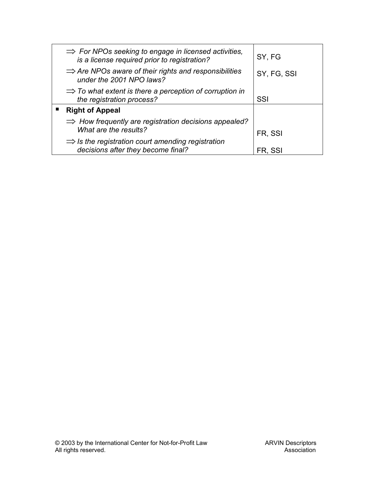| $\Rightarrow$ For NPOs seeking to engage in licensed activities,<br>is a license required prior to registration? | SY, FG      |
|------------------------------------------------------------------------------------------------------------------|-------------|
| $\Rightarrow$ Are NPOs aware of their rights and responsibilities<br>under the 2001 NPO laws?                    | SY, FG, SSI |
| $\Rightarrow$ To what extent is there a perception of corruption in<br>the registration process?                 | SSI         |
| <b>Right of Appeal</b>                                                                                           |             |
| $\Rightarrow$ How frequently are registration decisions appealed?<br>What are the results?                       | FR, SSI     |
| $\Rightarrow$ is the registration court amending registration<br>decisions after they become final?              | FR, SSI     |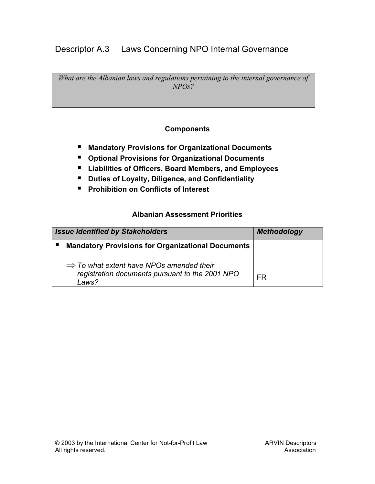# Descriptor A.3 Laws Concerning NPO Internal Governance

*What are the Albanian laws and regulations pertaining to the internal governance of NPOs?* 

### **Components**

- **Mandatory Provisions for Organizational Documents**
- **Optional Provisions for Organizational Documents**
- **Liabilities of Officers, Board Members, and Employees**
- **Duties of Loyalty, Diligence, and Confidentiality**
- **Prohibition on Conflicts of Interest**

| <b>Issue Identified by Stakeholders</b> |                                                                                                                  | <b>Methodology</b> |
|-----------------------------------------|------------------------------------------------------------------------------------------------------------------|--------------------|
|                                         | <b>Mandatory Provisions for Organizational Documents</b>                                                         |                    |
|                                         | $\Rightarrow$ To what extent have NPOs amended their<br>registration documents pursuant to the 2001 NPO<br>Laws? | FR                 |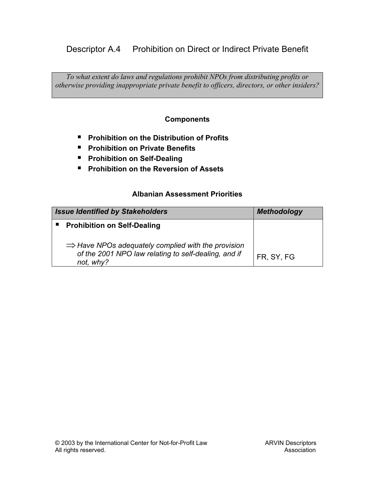# Descriptor A.4 Prohibition on Direct or Indirect Private Benefit

*To what extent do laws and regulations prohibit NPOs from distributing profits or otherwise providing inappropriate private benefit to officers, directors, or other insiders?*

### **Components**

- **Prohibition on the Distribution of Profits**
- **Prohibition on Private Benefits**
- **Prohibition on Self-Dealing**
- **Prohibition on the Reversion of Assets**

| <b>Issue Identified by Stakeholders</b>                                                                                             | <b>Methodology</b> |
|-------------------------------------------------------------------------------------------------------------------------------------|--------------------|
| <b>Prohibition on Self-Dealing</b>                                                                                                  |                    |
| $\Rightarrow$ Have NPOs adequately complied with the provision<br>of the 2001 NPO law relating to self-dealing, and if<br>not, why? | FR, SY, FG         |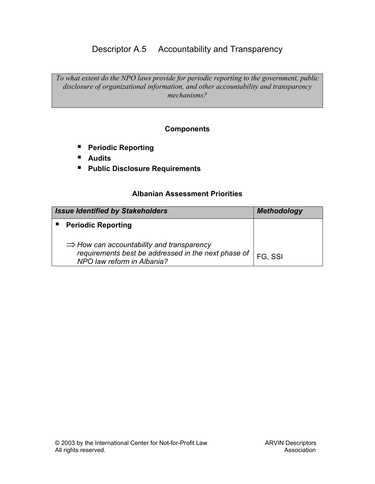# Descriptor A.5 Accountability and Transparency

*To what extent do the NPO laws provide for periodic reporting to the government, public disclosure of organizational information, and other accountability and transparency mechanisms?* 

#### **Components**

- **Periodic Reporting**
- **Audits**
- **Public Disclosure Requirements**

| <b>Issue Identified by Stakeholders</b>                                                                                                      | <b>Methodology</b> |
|----------------------------------------------------------------------------------------------------------------------------------------------|--------------------|
| <b>Periodic Reporting</b>                                                                                                                    |                    |
| $\Rightarrow$ How can accountability and transparency<br>requirements best be addressed in the next phase of  <br>NPO law reform in Albania? | FG. SSI            |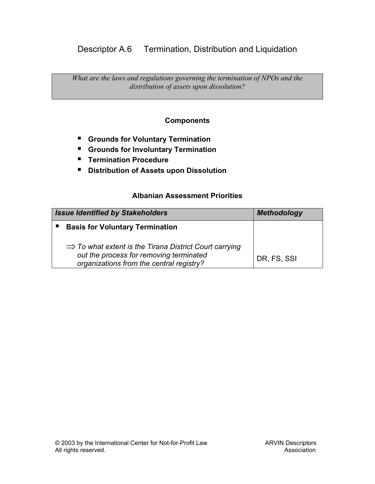# Descriptor A.6 Termination, Distribution and Liquidation

*What are the laws and regulations governing the termination of NPOs and the distribution of assets upon dissolution?* 

### **Components**

- **Grounds for Voluntary Termination**
- **Grounds for Involuntary Termination**
- **Termination Procedure**
- **Distribution of Assets upon Dissolution**

| <b>Issue Identified by Stakeholders</b>                                                                                                                   | <b>Methodology</b> |
|-----------------------------------------------------------------------------------------------------------------------------------------------------------|--------------------|
| <b>Basis for Voluntary Termination</b>                                                                                                                    |                    |
| $\Rightarrow$ To what extent is the Tirana District Court carrying<br>out the process for removing terminated<br>organizations from the central registry? | DR, FS, SSI        |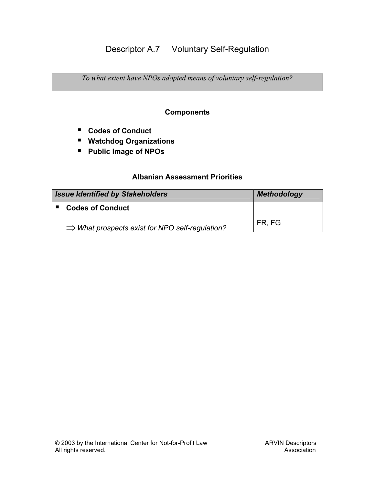# Descriptor A.7 Voluntary Self-Regulation

*To what extent have NPOs adopted means of voluntary self-regulation?* 

### **Components**

- **Codes of Conduct**
- **Watchdog Organizations**
- **Public Image of NPOs**

| <b>Issue Identified by Stakeholders</b>                     | <b>Methodology</b> |
|-------------------------------------------------------------|--------------------|
| <b>Codes of Conduct</b>                                     |                    |
| $\Rightarrow$ What prospects exist for NPO self-regulation? | FR, FG             |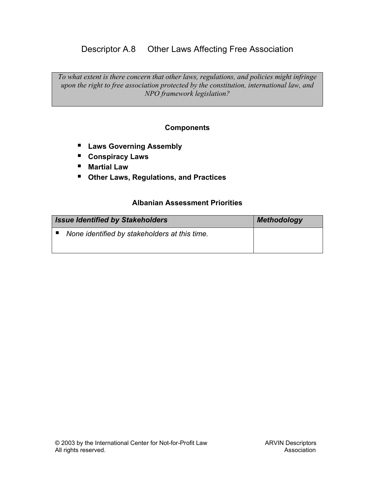# Descriptor A.8 Other Laws Affecting Free Association

*To what extent is there concern that other laws, regulations, and policies might infringe upon the right to free association protected by the constitution, international law, and NPO framework legislation?* 

### **Components**

- **Laws Governing Assembly**
- **Conspiracy Laws**
- **Martial Law**
- **Other Laws, Regulations, and Practices**

| <b>Issue Identified by Stakeholders</b>       | <b>Methodology</b> |
|-----------------------------------------------|--------------------|
| None identified by stakeholders at this time. |                    |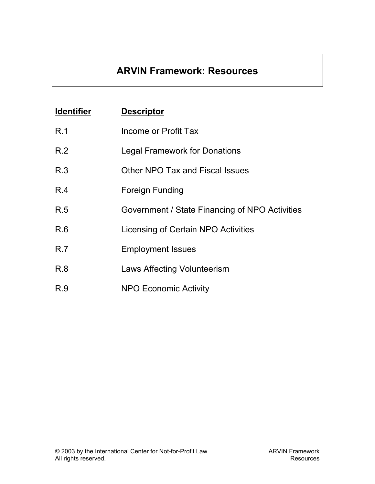# **ARVIN Framework: Resources**

| <b>Identifier</b> | <b>Descriptor</b>                              |
|-------------------|------------------------------------------------|
| R.1               | Income or Profit Tax                           |
| R.2               | <b>Legal Framework for Donations</b>           |
| R.3               | Other NPO Tax and Fiscal Issues                |
| R.4               | Foreign Funding                                |
| R.5               | Government / State Financing of NPO Activities |
| R.6               | Licensing of Certain NPO Activities            |
| R.7               | <b>Employment Issues</b>                       |
| R.8               | Laws Affecting Volunteerism                    |
| R.9               | <b>NPO Economic Activity</b>                   |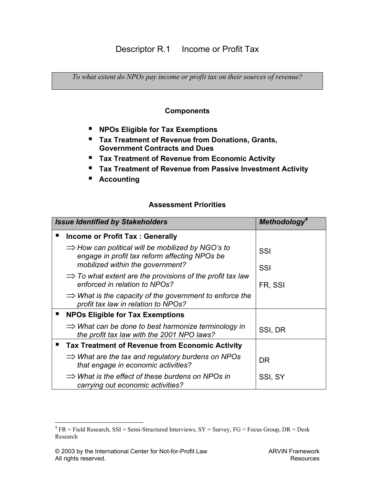# Descriptor R.1 Income or Profit Tax

*To what extent do NPOs pay income or profit tax on their sources of revenue?* 

#### **Components**

- **NPOs Eligible for Tax Exemptions**
- **Tax Treatment of Revenue from Donations, Grants, Government Contracts and Dues**
- **Tax Treatment of Revenue from Economic Activity**
- **Tax Treatment of Revenue from Passive Investment Activity**
- **Accounting**

#### **Assessment Priorities**

| <b>Issue Identified by Stakeholders</b>                                                                        | <b>Methodology</b> |
|----------------------------------------------------------------------------------------------------------------|--------------------|
| Income or Profit Tax: Generally                                                                                |                    |
| $\Rightarrow$ How can political will be mobilized by NGO's to<br>engage in profit tax reform affecting NPOs be | SSI                |
| mobilized within the government?                                                                               | SSI                |
| $\Rightarrow$ To what extent are the provisions of the profit tax law<br>enforced in relation to NPOs?         | FR, SSI            |
| $\Rightarrow$ What is the capacity of the government to enforce the<br>profit tax law in relation to NPOs?     |                    |
| <b>NPOs Eligible for Tax Exemptions</b>                                                                        |                    |
| $\Rightarrow$ What can be done to best harmonize terminology in<br>the profit tax law with the 2001 NPO laws?  | SSI, DR            |
| <b>Tax Treatment of Revenue from Economic Activity</b>                                                         |                    |
| $\Rightarrow$ What are the tax and regulatory burdens on NPOs<br>that engage in economic activities?           | <b>DR</b>          |
| $\Rightarrow$ What is the effect of these burdens on NPOs in<br>carrying out economic activities?              | SSI, SY            |

 $\overline{a}$ 

<span id="page-11-0"></span> $^{4}$  FR = Field Research, SSI = Semi-Structured Interviews, SY = Survey, FG = Focus Group, DR = Desk Research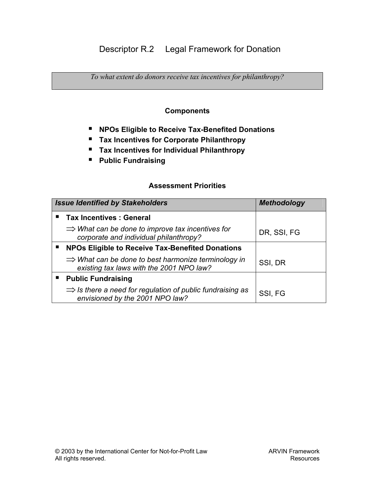# Descriptor R.2 Legal Framework for Donation

*To what extent do donors receive tax incentives for philanthropy?* 

### **Components**

- **NPOs Eligible to Receive Tax-Benefited Donations**
- **Tax Incentives for Corporate Philanthropy**
- **Tax Incentives for Individual Philanthropy**
- **Public Fundraising**

| <b>Issue Identified by Stakeholders</b>                                                                     | <b>Methodology</b> |
|-------------------------------------------------------------------------------------------------------------|--------------------|
| <b>Tax Incentives : General</b>                                                                             |                    |
| $\Rightarrow$ What can be done to improve tax incentives for<br>corporate and individual philanthropy?      | DR, SSI, FG        |
| <b>NPOs Eligible to Receive Tax-Benefited Donations</b>                                                     |                    |
| $\Rightarrow$ What can be done to best harmonize terminology in<br>existing tax laws with the 2001 NPO law? | SSI, DR            |
| <b>Public Fundraising</b>                                                                                   |                    |
| $\Rightarrow$ Is there a need for regulation of public fundraising as<br>envisioned by the 2001 NPO law?    | SSI, FG            |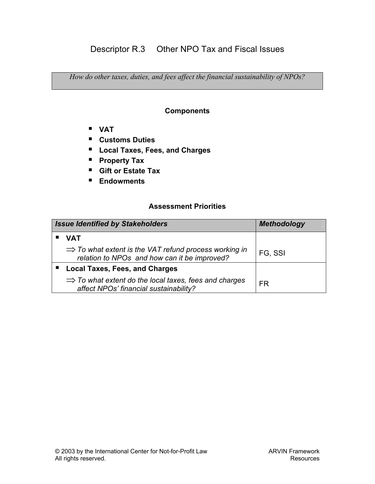*How do other taxes, duties, and fees affect the financial sustainability of NPOs?* 

### **Components**

- **VAT**
- **Customs Duties**
- **Local Taxes, Fees, and Charges**
- **Property Tax**
- **Gift or Estate Tax**
- **Endowments**

| <b>Issue Identified by Stakeholders</b>                                                                           | <b>Methodology</b> |
|-------------------------------------------------------------------------------------------------------------------|--------------------|
| <b>VAT</b>                                                                                                        |                    |
| $\Rightarrow$ To what extent is the VAT refund process working in<br>relation to NPOs and how can it be improved? | FG, SSI            |
| <b>Local Taxes, Fees, and Charges</b>                                                                             |                    |
| $\Rightarrow$ To what extent do the local taxes, fees and charges<br>affect NPOs' financial sustainability?       | FR                 |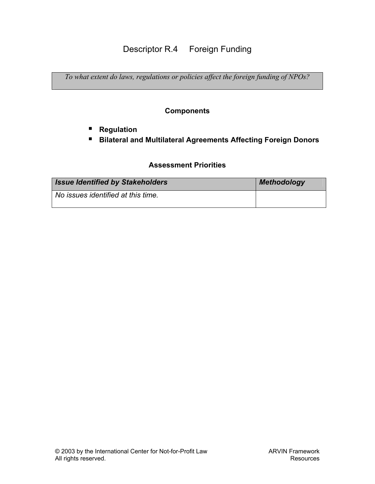# Descriptor R.4 Foreign Funding

*To what extent do laws, regulations or policies affect the foreign funding of NPOs?* 

### **Components**

- **Regulation**
- **Bilateral and Multilateral Agreements Affecting Foreign Donors**

| <b>Issue Identified by Stakeholders</b> | <b>Methodology</b> |
|-----------------------------------------|--------------------|
| No issues identified at this time.      |                    |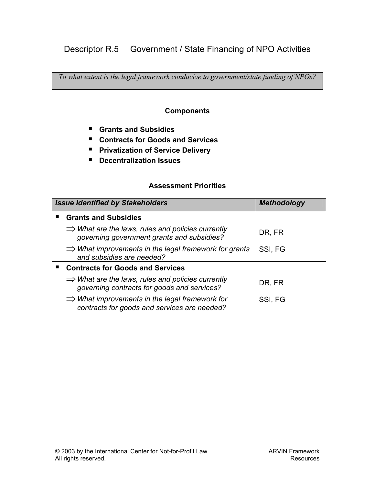# Descriptor R.5 Government / State Financing of NPO Activities

*To what extent is the legal framework conducive to government/state funding of NPOs?* 

#### **Components**

- **Grants and Subsidies**
- **Contracts for Goods and Services**
- **Privatization of Service Delivery**
- **Decentralization Issues**

| <b>Issue Identified by Stakeholders</b>                                                                      | <b>Methodology</b> |
|--------------------------------------------------------------------------------------------------------------|--------------------|
| <b>Grants and Subsidies</b>                                                                                  |                    |
| $\Rightarrow$ What are the laws, rules and policies currently<br>governing government grants and subsidies?  | DR, FR             |
| $\Rightarrow$ What improvements in the legal framework for grants<br>and subsidies are needed?               | SSI, FG            |
| <b>Contracts for Goods and Services</b>                                                                      |                    |
| $\Rightarrow$ What are the laws, rules and policies currently<br>governing contracts for goods and services? | DR, FR             |
| $\Rightarrow$ What improvements in the legal framework for<br>contracts for goods and services are needed?   | SSI, FG            |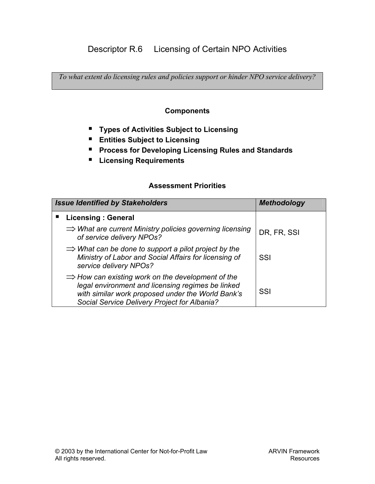*To what extent do licensing rules and policies support or hinder NPO service delivery?* 

### **Components**

- **Types of Activities Subject to Licensing**
- **Entities Subject to Licensing**
- **Process for Developing Licensing Rules and Standards**
- **Licensing Requirements**

| <b>Issue Identified by Stakeholders</b>                                                                                                                                                                                 | <b>Methodology</b> |
|-------------------------------------------------------------------------------------------------------------------------------------------------------------------------------------------------------------------------|--------------------|
| <b>Licensing: General</b>                                                                                                                                                                                               |                    |
| $\Rightarrow$ What are current Ministry policies governing licensing<br>of service delivery NPOs?                                                                                                                       | DR, FR, SSI        |
| $\Rightarrow$ What can be done to support a pilot project by the<br>Ministry of Labor and Social Affairs for licensing of<br>service delivery NPOs?                                                                     | SSI                |
| $\Rightarrow$ How can existing work on the development of the<br>legal environment and licensing regimes be linked<br>with similar work proposed under the World Bank's<br>Social Service Delivery Project for Albania? | SSI                |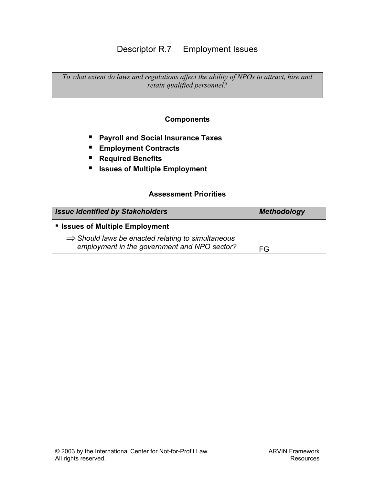# Descriptor R.7 Employment Issues

*To what extent do laws and regulations affect the ability of NPOs to attract, hire and retain qualified personnel?* 

### **Components**

- **Payroll and Social Insurance Taxes**
- **Employment Contracts**
- **Required Benefits**
- **Issues of Multiple Employment**

| <b>Issue Identified by Stakeholders</b>                                                                       | <b>Methodology</b> |
|---------------------------------------------------------------------------------------------------------------|--------------------|
| <b>Issues of Multiple Employment</b>                                                                          |                    |
| $\Rightarrow$ Should laws be enacted relating to simultaneous<br>employment in the government and NPO sector? | FG                 |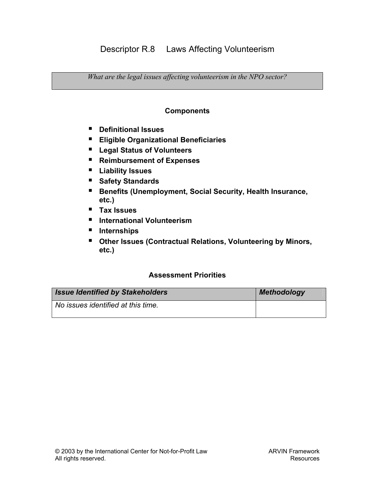## Descriptor R.8 Laws Affecting Volunteerism

*What are the legal issues affecting volunteerism in the NPO sector?* 

### **Components**

- **Definitional Issues**
- **Eligible Organizational Beneficiaries**
- **Legal Status of Volunteers**
- **Reimbursement of Expenses**
- **Liability Issues**
- **Safety Standards**
- Benefits (Unemployment, Social Security, Health Insurance, **etc.)**
- **Tax Issues**
- **International Volunteerism**
- **Internships**
- **Other Issues (Contractual Relations, Volunteering by Minors, etc.)**

| <b>Issue Identified by Stakeholders</b> | <b>Methodology</b> |
|-----------------------------------------|--------------------|
| No issues identified at this time.      |                    |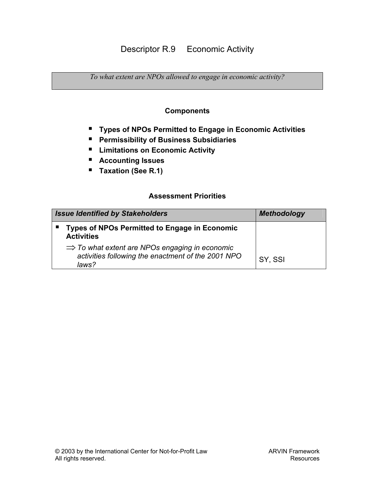*To what extent are NPOs allowed to engage in economic activity?* 

### **Components**

- **Types of NPOs Permitted to Engage in Economic Activities**
- **Permissibility of Business Subsidiaries**
- **Limitations on Economic Activity**
- **Accounting Issues**
- **Taxation (See R.1)**

| <b>Issue Identified by Stakeholders</b>                                                                                   | <b>Methodology</b> |
|---------------------------------------------------------------------------------------------------------------------------|--------------------|
| <b>Types of NPOs Permitted to Engage in Economic</b><br><b>Activities</b>                                                 |                    |
| $\Rightarrow$ To what extent are NPOs engaging in economic<br>activities following the enactment of the 2001 NPO<br>laws? | SY, SSI            |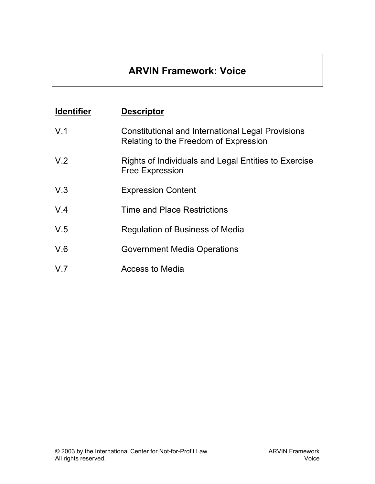# **ARVIN Framework: Voice**

| <b>Identifier</b> | <b>Descriptor</b>                                                                          |
|-------------------|--------------------------------------------------------------------------------------------|
| V.1               | Constitutional and International Legal Provisions<br>Relating to the Freedom of Expression |
| V <sub>.2</sub>   | Rights of Individuals and Legal Entities to Exercise<br><b>Free Expression</b>             |
| V.3               | <b>Expression Content</b>                                                                  |
| V.4               | Time and Place Restrictions                                                                |
| V.5               | <b>Regulation of Business of Media</b>                                                     |
| V.6               | <b>Government Media Operations</b>                                                         |
| V.7               | Access to Media                                                                            |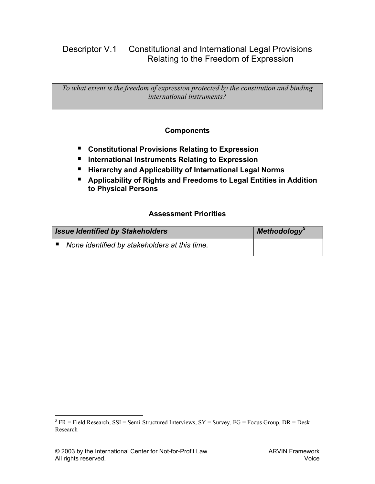# Descriptor V.1 Constitutional and International Legal Provisions Relating to the Freedom of Expression

*To what extent is the freedom of expression protected by the constitution and binding international instruments?* 

### **Components**

- Constitutional Provisions Relating to Expression
- **E** International Instruments Relating to Expression
- **Hierarchy and Applicability of International Legal Norms**
- **Applicability of Rights and Freedoms to Legal Entities in Addition to Physical Persons**

#### **Assessment Priorities**

| <b>Issue Identified by Stakeholders</b>       | Methodology <sup>5</sup> |
|-----------------------------------------------|--------------------------|
| None identified by stakeholders at this time. |                          |

 $\overline{a}$ 

<span id="page-21-0"></span><sup>&</sup>lt;sup>5</sup>  $FR = Field Research$ , SSI = Semi-Structured Interviews, SY = Survey, FG = Focus Group, DR = Desk Research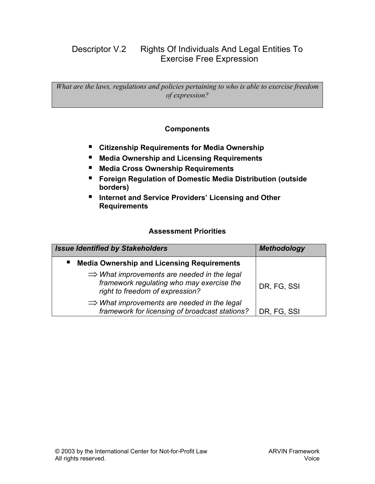# Descriptor V.2 Rights Of Individuals And Legal Entities To Exercise Free Expression

*What are the laws, regulations and policies pertaining to who is able to exercise freedom of expression?* 

### **Components**

- **Citizenship Requirements for Media Ownership**
- **Media Ownership and Licensing Requirements**
- **Media Cross Ownership Requirements**
- **Foreign Regulation of Domestic Media Distribution (outside borders)**
- **Internet and Service Providers' Licensing and Other Requirements**

| <b>Issue Identified by Stakeholders</b>                                                                                                 | <b>Methodology</b> |
|-----------------------------------------------------------------------------------------------------------------------------------------|--------------------|
| <b>Media Ownership and Licensing Requirements</b><br>п.                                                                                 |                    |
| $\Rightarrow$ What improvements are needed in the legal<br>framework regulating who may exercise the<br>right to freedom of expression? | DR, FG, SSI        |
| $\Rightarrow$ What improvements are needed in the legal<br>framework for licensing of broadcast stations?                               | DR, FG, SSI        |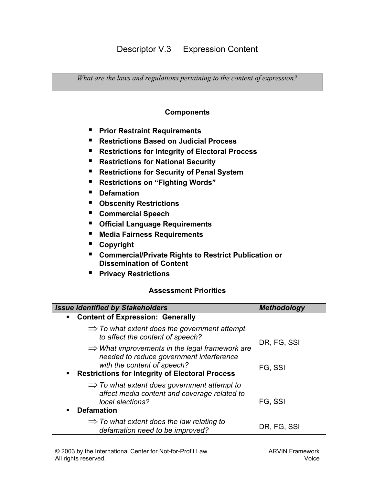# Descriptor V.3 Expression Content

*What are the laws and regulations pertaining to the content of expression?* 

#### **Components**

- **Prior Restraint Requirements**
- **Restrictions Based on Judicial Process**
- Restrictions for Integrity of Electoral Process
- Restrictions for National Security
- **Restrictions for Security of Penal System**
- **Restrictions on "Fighting Words"**
- **Defamation**
- **Obscenity Restrictions**
- **Commercial Speech**
- **Official Language Requirements**
- **Media Fairness Requirements**
- **Copyright**
- Commercial/Private Rights to Restrict Publication or **Dissemination of Content**
- **Privacy Restrictions**

| <b>Issue Identified by Stakeholders</b>                                                                                                                                                              | <b>Methodology</b> |
|------------------------------------------------------------------------------------------------------------------------------------------------------------------------------------------------------|--------------------|
| <b>Content of Expression: Generally</b><br>$\blacksquare$                                                                                                                                            |                    |
| $\Rightarrow$ To what extent does the government attempt<br>to affect the content of speech?                                                                                                         | DR, FG, SSI        |
| $\Rightarrow$ What improvements in the legal framework are<br>needed to reduce government interference<br>with the content of speech?<br><b>Restrictions for Integrity of Electoral Process</b><br>٠ | FG, SSI            |
| $\Rightarrow$ To what extent does government attempt to<br>affect media content and coverage related to<br>local elections?<br><b>Defamation</b><br>٠                                                | FG, SSI            |
| $\Rightarrow$ To what extent does the law relating to<br>defamation need to be improved?                                                                                                             | DR, FG, SSI        |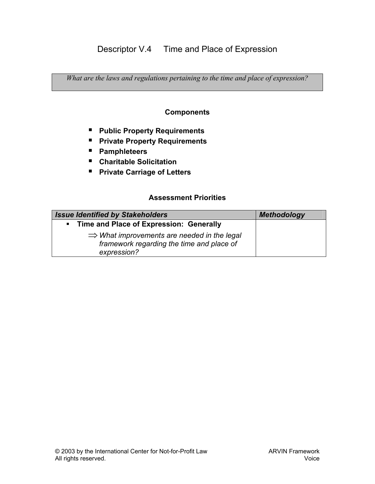# Descriptor V.4 Time and Place of Expression

*What are the laws and regulations pertaining to the time and place of expression?* 

#### **Components**

- **Public Property Requirements**
- **Private Property Requirements**
- **Pamphleteers**
- **Charitable Solicitation**
- **Private Carriage of Letters**

| <b>Issue Identified by Stakeholders</b>                                                                             | <b>Methodology</b> |
|---------------------------------------------------------------------------------------------------------------------|--------------------|
| Time and Place of Expression: Generally<br>$\blacksquare$                                                           |                    |
| $\Rightarrow$ What improvements are needed in the legal<br>framework regarding the time and place of<br>expression? |                    |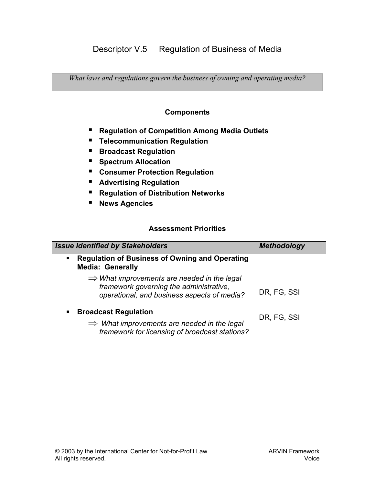*What laws and regulations govern the business of owning and operating media?* 

### **Components**

- Regulation of Competition Among Media Outlets
- **Telecommunication Regulation**
- **Broadcast Regulation**
- **Spectrum Allocation**
- **Consumer Protection Regulation**
- **Advertising Regulation**
- **Regulation of Distribution Networks**
- **News Agencies**

| <b>Issue Identified by Stakeholders</b>                                                                                                                    | <b>Methodology</b> |
|------------------------------------------------------------------------------------------------------------------------------------------------------------|--------------------|
| <b>Regulation of Business of Owning and Operating</b><br>$\blacksquare$<br><b>Media: Generally</b>                                                         |                    |
| $\Rightarrow$ What improvements are needed in the legal<br>framework governing the administrative,<br>operational, and business aspects of media?          | DR, FG, SSI        |
| <b>Broadcast Regulation</b><br>$\blacksquare$<br>$\Rightarrow$ What improvements are needed in the legal<br>framework for licensing of broadcast stations? | DR, FG, SSI        |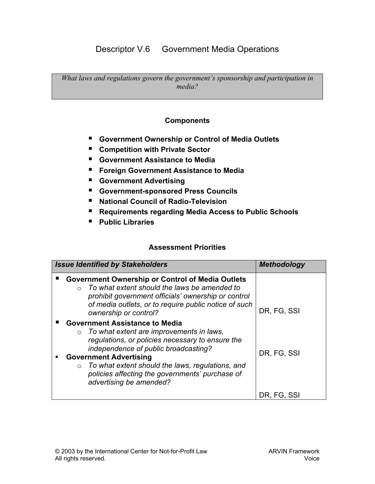# Descriptor V.6 Government Media Operations

*What laws and regulations govern the government's sponsorship and participation in media?* 

#### **Components**

- **Government Ownership or Control of Media Outlets**
- **Competition with Private Sector**
- **Government Assistance to Media**
- **Foreign Government Assistance to Media**
- **Government Advertising**
- **Government-sponsored Press Councils**
- **National Council of Radio-Television**
- **Requirements regarding Media Access to Public Schools**
- **Public Libraries**

| <b>Issue Identified by Stakeholders</b>                                                                                                                                                                                                                                                                                                                             | <b>Methodology</b> |
|---------------------------------------------------------------------------------------------------------------------------------------------------------------------------------------------------------------------------------------------------------------------------------------------------------------------------------------------------------------------|--------------------|
| <b>Government Ownership or Control of Media Outlets</b><br>$\circ$ To what extent should the laws be amended to<br>prohibit government officials' ownership or control<br>of media outlets, or to require public notice of such<br>ownership or control?                                                                                                            | DR, FG, SSI        |
| <b>Government Assistance to Media</b><br>$\circ$ To what extent are improvements in laws,<br>regulations, or policies necessary to ensure the<br>independence of public broadcasting?<br><b>Government Advertising</b><br>To what extent should the laws, regulations, and<br>$\circ$<br>policies affecting the governments' purchase of<br>advertising be amended? | DR, FG, SSI        |
|                                                                                                                                                                                                                                                                                                                                                                     | DR. FG. SSI        |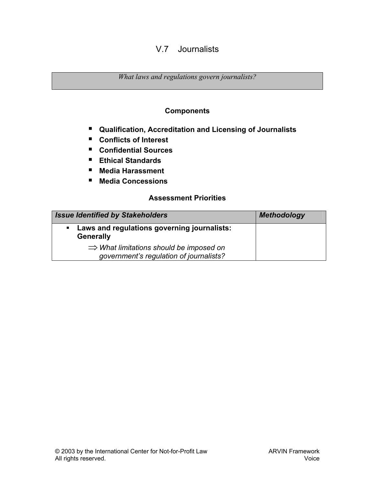## V.7 Journalists

*What laws and regulations govern journalists?* 

### **Components**

- **Qualification, Accreditation and Licensing of Journalists**
- **Conflicts of Interest**
- **Confidential Sources**
- **Ethical Standards**
- **Media Harassment**
- **Media Concessions**

| <b>Issue Identified by Stakeholders</b>                                                        | <b>Methodology</b> |
|------------------------------------------------------------------------------------------------|--------------------|
| Laws and regulations governing journalists:<br><b>Generally</b>                                |                    |
| $\Rightarrow$ What limitations should be imposed on<br>government's regulation of journalists? |                    |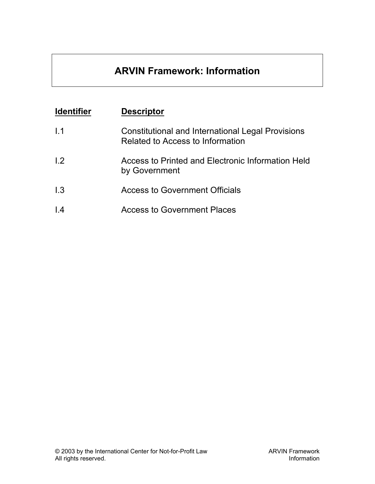# **ARVIN Framework: Information**

| <b>Identifier</b> | <b>Descriptor</b>                                                                            |
|-------------------|----------------------------------------------------------------------------------------------|
| 1.1               | <b>Constitutional and International Legal Provisions</b><br>Related to Access to Information |
| 1.2               | Access to Printed and Electronic Information Held<br>by Government                           |
| 1.3               | <b>Access to Government Officials</b>                                                        |
| $\overline{1.4}$  | <b>Access to Government Places</b>                                                           |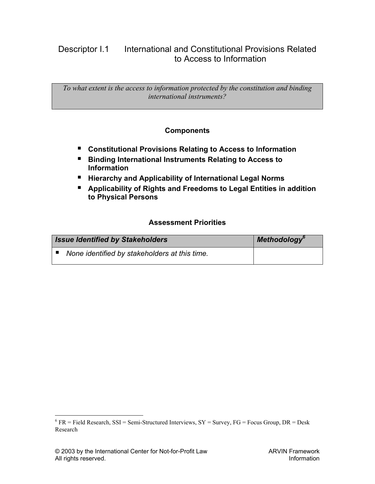# Descriptor I.1 International and Constitutional Provisions Related to Access to Information

*To what extent is the access to information protected by the constitution and binding international instruments?* 

### **Components**

- **Constitutional Provisions Relating to Access to Information**
- Binding International Instruments Relating to Access to **Information**
- **Hierarchy and Applicability of International Legal Norms**
- **Applicability of Rights and Freedoms to Legal Entities in addition to Physical Persons**

### **Assessment Priorities**

| <b>Issue Identified by Stakeholders</b>       | Methodology <sup>6</sup> |
|-----------------------------------------------|--------------------------|
| None identified by stakeholders at this time. |                          |

 $\overline{a}$ 

<span id="page-29-0"></span> $6$  FR = Field Research, SSI = Semi-Structured Interviews, SY = Survey, FG = Focus Group, DR = Desk Research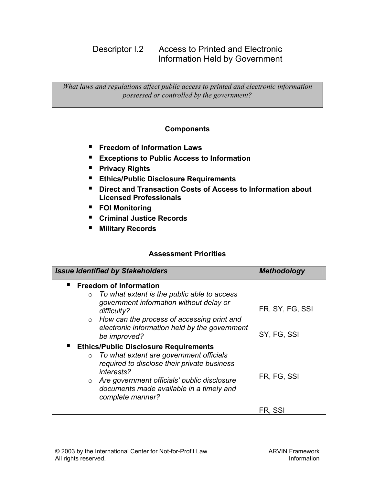# Descriptor I.2 Access to Printed and Electronic Information Held by Government

*What laws and regulations affect public access to printed and electronic information possessed or controlled by the government?* 

### **Components**

- **Freedom of Information Laws**
- **Exceptions to Public Access to Information**
- **Privacy Rights**
- **Ethics/Public Disclosure Requirements**
- Direct and Transaction Costs of Access to Information about **Licensed Professionals**
- **FOI Monitoring**
- **Criminal Justice Records**
- **Military Records**

| <b>Issue Identified by Stakeholders</b>                                                                                                                                                                                                                                          | <b>Methodology</b>             |
|----------------------------------------------------------------------------------------------------------------------------------------------------------------------------------------------------------------------------------------------------------------------------------|--------------------------------|
| <b>Freedom of Information</b><br>To what extent is the public able to access<br>$\circ$<br>government information without delay or<br>difficulty?<br>$\circ$ How can the process of accessing print and<br>electronic information held by the government<br>be improved?         | FR, SY, FG, SSI<br>SY, FG, SSI |
| <b>Ethics/Public Disclosure Requirements</b><br>To what extent are government officials<br>$\circ$<br>required to disclose their private business<br>interests?<br>o Are government officials' public disclosure<br>documents made available in a timely and<br>complete manner? | FR, FG, SSI                    |
|                                                                                                                                                                                                                                                                                  | FR. SSI                        |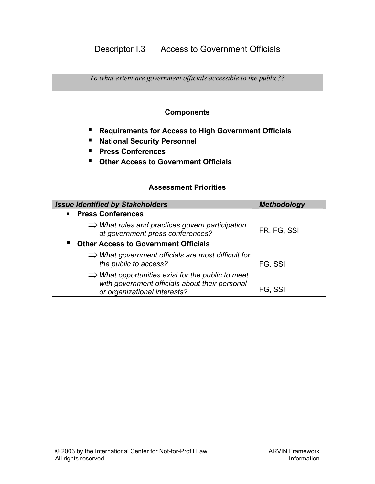*To what extent are government officials accessible to the public??* 

### **Components**

- **Requirements for Access to High Government Officials**
- **National Security Personnel**
- **Press Conferences**
- **Other Access to Government Officials**

| <b>Issue Identified by Stakeholders</b>                                                                         | <b>Methodology</b> |
|-----------------------------------------------------------------------------------------------------------------|--------------------|
| <b>Press Conferences</b><br>$\mathbf{u}$                                                                        |                    |
| $\Rightarrow$ What rules and practices govern participation<br>at government press conferences?                 | FR, FG, SSI        |
| <b>Other Access to Government Officials</b>                                                                     |                    |
| $\Rightarrow$ What government officials are most difficult for<br>the public to access?                         | FG, SSI            |
| $\Rightarrow$ What opportunities exist for the public to meet<br>with government officials about their personal |                    |
| or organizational interests?                                                                                    | FG, SSI            |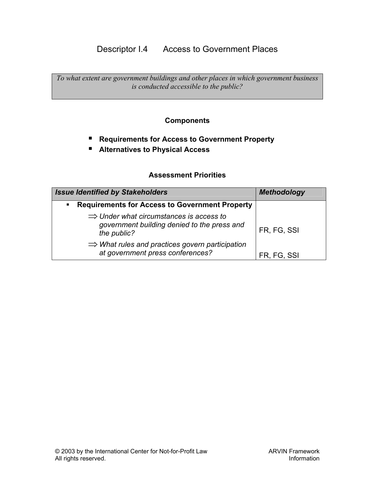# Descriptor I.4 Access to Government Places

*To what extent are government buildings and other places in which government business is conducted accessible to the public?* 

### **Components**

- Requirements for Access to Government Property
- **Alternatives to Physical Access**

| <b>Issue Identified by Stakeholders</b>                                                                           | <b>Methodology</b> |
|-------------------------------------------------------------------------------------------------------------------|--------------------|
| <b>Requirements for Access to Government Property</b><br>$\blacksquare$                                           |                    |
| $\Rightarrow$ Under what circumstances is access to<br>government building denied to the press and<br>the public? | FR, FG, SSI        |
| $\Rightarrow$ What rules and practices govern participation<br>at government press conferences?                   | FR, FG, SSI        |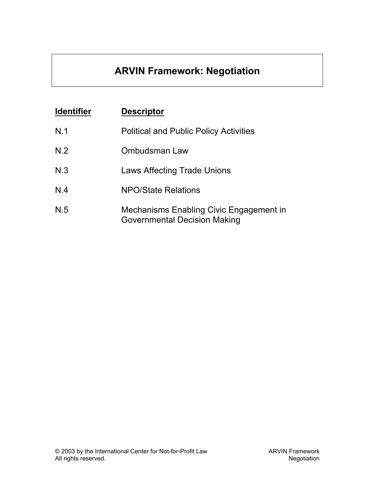# **ARVIN Framework: Negotiation**

| <b>Identifier</b> | <b>Descriptor</b>                                                                     |
|-------------------|---------------------------------------------------------------------------------------|
| N.1               | <b>Political and Public Policy Activities</b>                                         |
| N.2               | Ombudsman Law                                                                         |
| N.3               | <b>Laws Affecting Trade Unions</b>                                                    |
| N.4               | <b>NPO/State Relations</b>                                                            |
| N.5               | <b>Mechanisms Enabling Civic Engagement in</b><br><b>Governmental Decision Making</b> |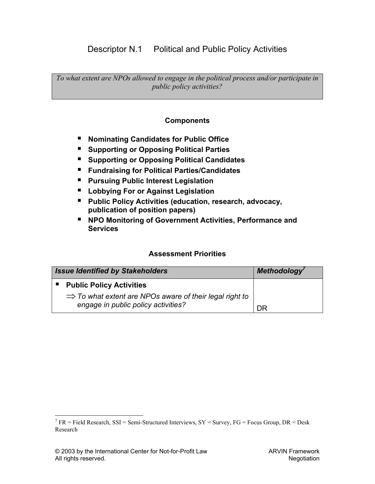## Descriptor N.1 Political and Public Policy Activities

*To what extent are NPOs allowed to engage in the political process and/or participate in public policy activities?* 

### **Components**

- Nominating Candidates for Public Office
- **Supporting or Opposing Political Parties**
- Supporting or Opposing Political Candidates
- **Fundraising for Political Parties/Candidates**
- **Pursuing Public Interest Legislation**
- **Lobbying For or Against Legislation**
- **Public Policy Activities (education, research, advocacy, publication of position papers)**
- NPO Monitoring of Government Activities, Performance and **Services**

### **Assessment Priorities**

| <b>Issue Identified by Stakeholders</b>                                                                    | Methodology' |
|------------------------------------------------------------------------------------------------------------|--------------|
| <b>Public Policy Activities</b>                                                                            |              |
| $\Rightarrow$ To what extent are NPOs aware of their legal right to<br>engage in public policy activities? | <b>DR</b>    |

 $\overline{a}$ 

<span id="page-34-0"></span><sup>&</sup>lt;sup>7</sup> FR = Field Research, SSI = Semi-Structured Interviews, SY = Survey, FG = Focus Group, DR = Desk Research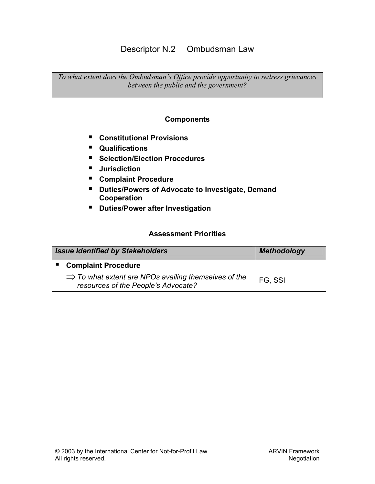# Descriptor N.2 Ombudsman Law

*To what extent does the Ombudsman's Office provide opportunity to redress grievances between the public and the government?* 

#### **Components**

- **Constitutional Provisions**
- **Qualifications**
- Selection/Election Procedures
- **Jurisdiction**
- **Complaint Procedure**
- **Duties/Powers of Advocate to Investigate, Demand Cooperation**
- **Duties/Power after Investigation**

| <b>Issue Identified by Stakeholders</b> |                                                                                                         | <b>Methodology</b> |
|-----------------------------------------|---------------------------------------------------------------------------------------------------------|--------------------|
|                                         | <b>Complaint Procedure</b>                                                                              |                    |
|                                         | $\Rightarrow$ To what extent are NPOs availing themselves of the<br>resources of the People's Advocate? | FG, SSI            |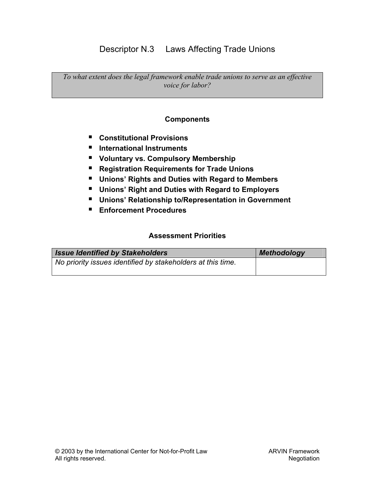# Descriptor N.3 Laws Affecting Trade Unions

*To what extent does the legal framework enable trade unions to serve as an effective voice for labor?* 

### **Components**

- **Constitutional Provisions**
- **International Instruments**
- **Voluntary vs. Compulsory Membership**
- Registration Requirements for Trade Unions
- **Unions' Rights and Duties with Regard to Members**
- **Unions' Right and Duties with Regard to Employers**
- **Unions' Relationship to/Representation in Government**
- **Enforcement Procedures**

| <b>Issue Identified by Stakeholders</b>                     | <b>Methodology</b> |
|-------------------------------------------------------------|--------------------|
| No priority issues identified by stakeholders at this time. |                    |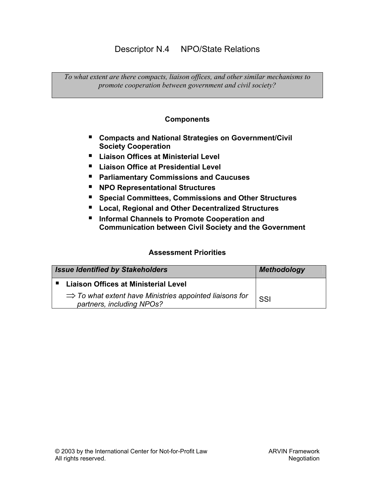# Descriptor N.4 NPO/State Relations

*To what extent are there compacts, liaison offices, and other similar mechanisms to promote cooperation between government and civil society?* 

#### **Components**

- **Compacts and National Strategies on Government/Civil Society Cooperation**
- **Liaison Offices at Ministerial Level**
- **Liaison Office at Presidential Level**
- **Parliamentary Commissions and Caucuses**
- **NPO Representational Structures**
- Special Committees, Commissions and Other Structures
- **Local, Regional and Other Decentralized Structures**
- **Informal Channels to Promote Cooperation and Communication between Civil Society and the Government**

| <b>Issue Identified by Stakeholders</b>                                                          | <b>Methodology</b> |
|--------------------------------------------------------------------------------------------------|--------------------|
| ■ Liaison Offices at Ministerial Level                                                           |                    |
| $\Rightarrow$ To what extent have Ministries appointed liaisons for<br>partners, including NPOs? | SSI                |